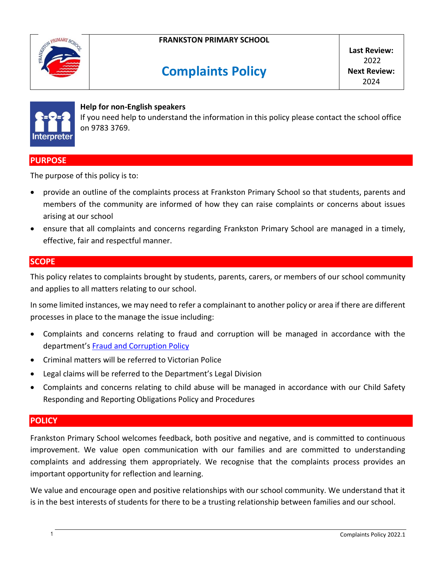

# **Complaints Policy**

**Last Review:** 2022 **Next Review:** 2024



#### **Help for non-English speakers**

If you need help to understand the information in this policy please contact the school office on 9783 3769.

# **PURPOSE**

The purpose of this policy is to:

- provide an outline of the complaints process at Frankston Primary School so that students, parents and members of the community are informed of how they can raise complaints or concerns about issues arising at our school
- ensure that all complaints and concerns regarding Frankston Primary School are managed in a timely, effective, fair and respectful manner.

#### **SCOPE**

This policy relates to complaints brought by students, parents, carers, or members of our school community and applies to all matters relating to our school.

In some limited instances, we may need to refer a complainant to another policy or area if there are different processes in place to the manage the issue including:

- Complaints and concerns relating to fraud and corruption will be managed in accordance with the department's [Fraud and Corruption Policy](https://www2.education.vic.gov.au/pal/report-fraud-or-corruption/overview)
- Criminal matters will be referred to Victorian Police
- Legal claims will be referred to the Department's Legal Division
- Complaints and concerns relating to child abuse will be managed in accordance with our Child Safety Responding and Reporting Obligations Policy and Procedures

#### **POLICY**

Frankston Primary School welcomes feedback, both positive and negative, and is committed to continuous improvement. We value open communication with our families and are committed to understanding complaints and addressing them appropriately. We recognise that the complaints process provides an important opportunity for reflection and learning.

We value and encourage open and positive relationships with our school community. We understand that it is in the best interests of students for there to be a trusting relationship between families and our school.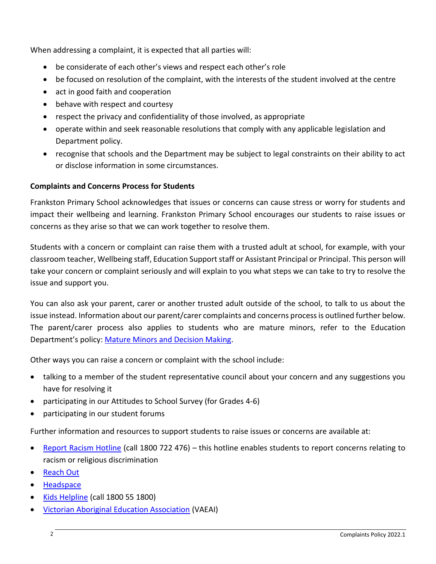When addressing a complaint, it is expected that all parties will:

- be considerate of each other's views and respect each other's role
- be focused on resolution of the complaint, with the interests of the student involved at the centre
- act in good faith and cooperation
- behave with respect and courtesy
- respect the privacy and confidentiality of those involved, as appropriate
- operate within and seek reasonable resolutions that comply with any applicable legislation and Department policy.
- recognise that schools and the Department may be subject to legal constraints on their ability to act or disclose information in some circumstances.

# **Complaints and Concerns Process for Students**

Frankston Primary School acknowledges that issues or concerns can cause stress or worry for students and impact their wellbeing and learning. Frankston Primary School encourages our students to raise issues or concerns as they arise so that we can work together to resolve them.

Students with a concern or complaint can raise them with a trusted adult at school, for example, with your classroom teacher, Wellbeing staff, Education Support staff or Assistant Principal or Principal. This person will take your concern or complaint seriously and will explain to you what steps we can take to try to resolve the issue and support you.

You can also ask your parent, carer or another trusted adult outside of the school, to talk to us about the issue instead. Information about our parent/carer complaints and concerns process is outlined further below. The parent/carer process also applies to students who are mature minors, refer to the Education Department's policy: [Mature Minors and Decision Making.](https://www2.education.vic.gov.au/pal/mature-minors-and-decision-making/policy)

Other ways you can raise a concern or complaint with the school include:

- talking to a member of the student representative council about your concern and any suggestions you have for resolving it
- participating in our Attitudes to School Survey (for Grades 4-6)
- participating in our student forums

Further information and resources to support students to raise issues or concerns are available at:

- [Report Racism Hotline](https://www.vic.gov.au/report-racism-or-religious-discrimination-schools) (call 1800 722 476) this hotline enables students to report concerns relating to racism or religious discrimination
- [Reach Out](https://au.reachout.com/?gclid=CjwKCAiAgbiQBhAHEiwAuQ6BktaB5xneGFK3TnOql5c5eZ7af7dDm9ffLZa7N59FEtbtQzVIk8sGWhoC8N0QAvD_BwE)
- [Headspace](https://headspace.org.au/)
- [Kids Helpline](https://kidshelpline.com.au/?gclid=CjwKCAiAgbiQBhAHEiwAuQ6Bkro6UD2EBcRILznFnRhKjfi5I84jJlUa0fyiiYLQ4mHx5sXTStxH8BoCCEIQAvD_BwE) (call 1800 55 1800)
- [Victorian Aboriginal Education Association](https://www.vaeai.org.au/) (VAEAI)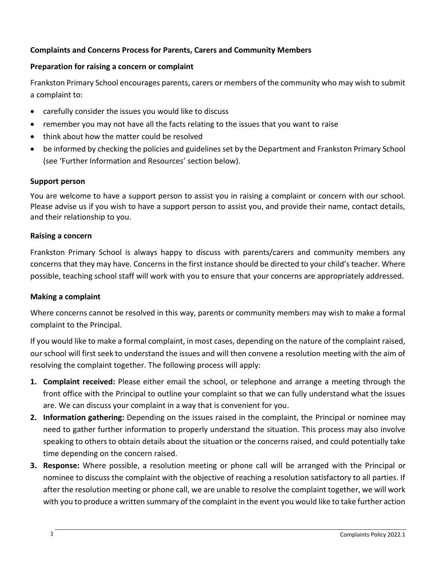# **Complaints and Concerns Process for Parents, Carers and Community Members**

# **Preparation for raising a concern or complaint**

Frankston Primary School encourages parents, carers or members of the community who may wish to submit a complaint to:

- carefully consider the issues you would like to discuss
- remember you may not have all the facts relating to the issues that you want to raise
- think about how the matter could be resolved
- be informed by checking the policies and guidelines set by the Department and Frankston Primary School (see 'Further Information and Resources' section below).

## **Support person**

You are welcome to have a support person to assist you in raising a complaint or concern with our school. Please advise us if you wish to have a support person to assist you, and provide their name, contact details, and their relationship to you.

## **Raising a concern**

Frankston Primary School is always happy to discuss with parents/carers and community members any concerns that they may have. Concerns in the first instance should be directed to your child's teacher. Where possible, teaching school staff will work with you to ensure that your concerns are appropriately addressed.

# **Making a complaint**

Where concerns cannot be resolved in this way, parents or community members may wish to make a formal complaint to the Principal.

If you would like to make a formal complaint, in most cases, depending on the nature of the complaint raised, our school will first seek to understand the issues and will then convene a resolution meeting with the aim of resolving the complaint together. The following process will apply:

- **1. Complaint received:** Please either email the school, or telephone and arrange a meeting through the front office with the Principal to outline your complaint so that we can fully understand what the issues are. We can discuss your complaint in a way that is convenient for you.
- **2. Information gathering:** Depending on the issues raised in the complaint, the Principal or nominee may need to gather further information to properly understand the situation. This process may also involve speaking to others to obtain details about the situation or the concerns raised, and could potentially take time depending on the concern raised.
- **3. Response:** Where possible, a resolution meeting or phone call will be arranged with the Principal or nominee to discuss the complaint with the objective of reaching a resolution satisfactory to all parties. If after the resolution meeting or phone call, we are unable to resolve the complaint together, we will work with you to produce a written summary of the complaint in the event you would like to take further action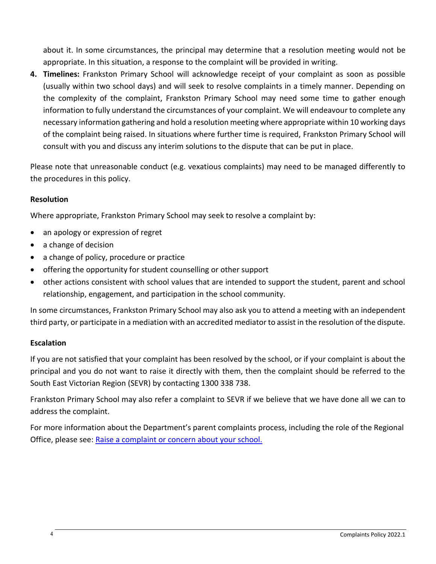about it. In some circumstances, the principal may determine that a resolution meeting would not be appropriate. In this situation, a response to the complaint will be provided in writing.

**4. Timelines:** Frankston Primary School will acknowledge receipt of your complaint as soon as possible (usually within two school days) and will seek to resolve complaints in a timely manner. Depending on the complexity of the complaint, Frankston Primary School may need some time to gather enough information to fully understand the circumstances of your complaint. We will endeavour to complete any necessary information gathering and hold a resolution meeting where appropriate within 10 working days of the complaint being raised. In situations where further time is required, Frankston Primary School will consult with you and discuss any interim solutions to the dispute that can be put in place.

Please note that unreasonable conduct (e.g. vexatious complaints) may need to be managed differently to the procedures in this policy.

# **Resolution**

Where appropriate, Frankston Primary School may seek to resolve a complaint by:

- an apology or expression of regret
- a change of decision
- a change of policy, procedure or practice
- offering the opportunity for student counselling or other support
- other actions consistent with school values that are intended to support the student, parent and school relationship, engagement, and participation in the school community.

In some circumstances, Frankston Primary School may also ask you to attend a meeting with an independent third party, or participate in a mediation with an accredited mediator to assist in the resolution of the dispute.

# **Escalation**

If you are not satisfied that your complaint has been resolved by the school, or if your complaint is about the principal and you do not want to raise it directly with them, then the complaint should be referred to the South East Victorian Region (SEVR) by contacting 1300 338 738.

Frankston Primary School may also refer a complaint to SEVR if we believe that we have done all we can to address the complaint.

For more information about the Department's parent complaints process, including the role of the Regional Office, please see: [Raise a complaint or concern about your school.](https://www.vic.gov.au/raise-complaint-or-concern-about-your-school#speaking-to-your-school)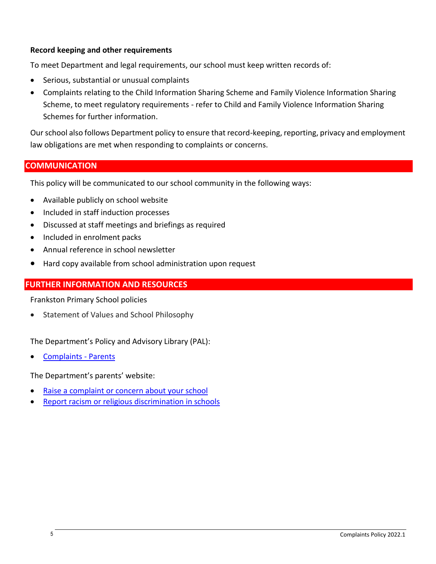## **Record keeping and other requirements**

To meet Department and legal requirements, our school must keep written records of:

- Serious, substantial or unusual complaints
- Complaints relating to the Child Information Sharing Scheme and Family Violence Information Sharing Scheme, to meet regulatory requirements - refer to Child and Family Violence Information Sharing Schemes for further information.

Our school also follows Department policy to ensure that record-keeping, reporting, privacy and employment law obligations are met when responding to complaints or concerns.

# **COMMUNICATION**

This policy will be communicated to our school community in the following ways:

- Available publicly on school website
- Included in staff induction processes
- Discussed at staff meetings and briefings as required
- Included in enrolment packs
- Annual reference in school newsletter
- Hard copy available from school administration upon request

# **FURTHER INFORMATION AND RESOURCES**

Frankston Primary School policies

**•** Statement of Values and School Philosophy

The Department's Policy and Advisory Library (PAL):

[Complaints -](https://www2.education.vic.gov.au/pal/complaints/policy) Parents

The Department's parents' website:

- [Raise a complaint or concern about your school](https://www.vic.gov.au/raise-complaint-or-concern-about-your-school)
- [Report racism or religious discrimination in schools](https://www.vic.gov.au/report-racism-or-religious-discrimination-schools)